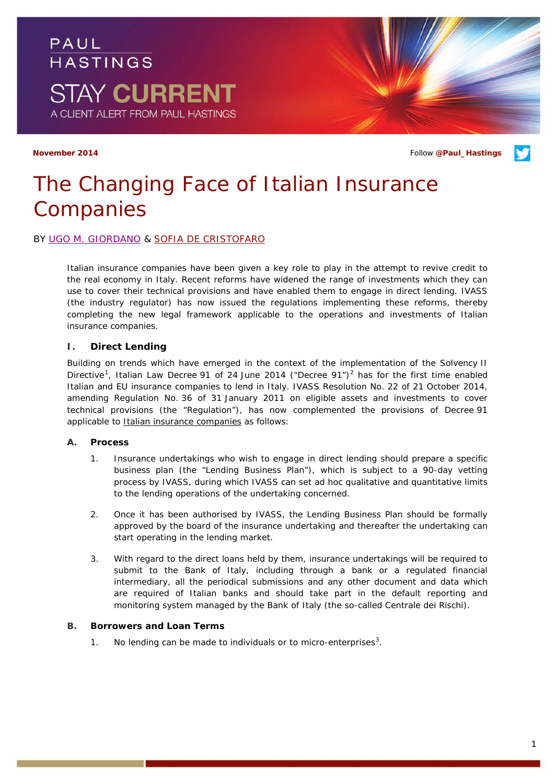

**November 2014 Follow [@Paul\\_Hastings](http://twitter.com/Paul_Hastings) November 2014** 

# *The Changing Face of Italian Insurance Companies*

## BY [UGO M. GIORDANO](http://www.paulhastings.com/Professionals/details/ugogiordano/) & [SOFIA DE CRISTOFARO](http://www.paulhastings.com/Professionals/details/sofiadecristofaro/)

Italian insurance companies have been given a key role to play in the attempt to revive credit to the real economy in Italy. Recent reforms have widened the range of investments which they can use to cover their technical provisions and have enabled them to engage in direct lending. IVASS (the industry regulator) has now issued the regulations implementing these reforms, thereby completing the new legal framework applicable to the operations and investments of Italian insurance companies.

#### **I. Direct Lending**

Building on trends which have emerged in the context of the implementation of the Solvency II Directive<sup>[1](#page-3-0)</sup>, Italian Law Decree 91 of [2](#page-3-1)4 June 2014 ("Decree 91")<sup>2</sup> has for the first time enabled Italian and EU insurance companies to lend in Italy. IVASS Resolution No. 22 of 21 October 2014, amending Regulation No. 36 of 31 January 2011 on eligible assets and investments to cover technical provisions (the "Regulation"), has now complemented the provisions of Decree 91 applicable to **Italian insurance companies** as follows:

#### *A. Process*

- 1. Insurance undertakings who wish to engage in direct lending should prepare a specific business plan (the "Lending Business Plan"), which is subject to a 90-day vetting process by IVASS, during which IVASS can set *ad hoc* qualitative and quantitative limits to the lending operations of the undertaking concerned.
- 2. Once it has been authorised by IVASS, the Lending Business Plan should be formally approved by the board of the insurance undertaking and thereafter the undertaking can start operating in the lending market.
- 3. With regard to the direct loans held by them, insurance undertakings will be required to submit to the Bank of Italy, including through a bank or a regulated financial intermediary, all the periodical submissions and any other document and data which are required of Italian banks and should take part in the default reporting and monitoring system managed by the Bank of Italy (the so-called *Centrale dei Rischi*).

#### *B. Borrowers and Loan Terms*

1. No lending can be made to individuals or to micro-enterprises $3$ .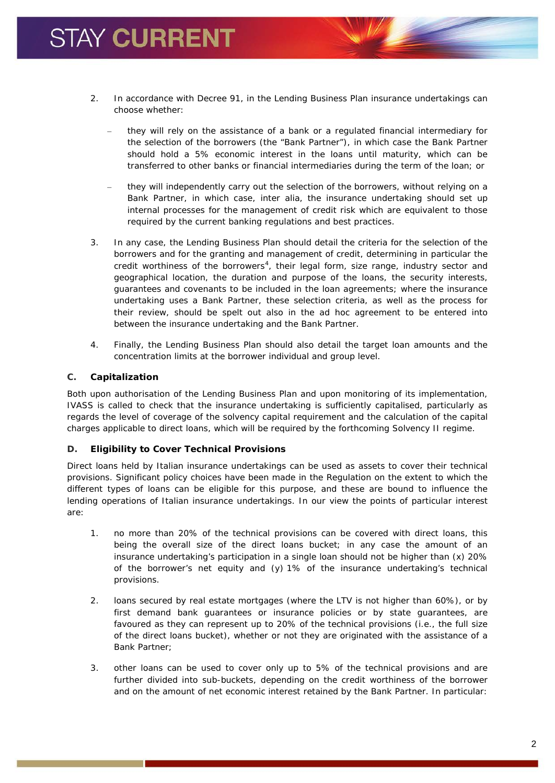- 2. In accordance with Decree 91, in the Lending Business Plan insurance undertakings can choose whether:
	- they will rely on the assistance of a bank or a regulated financial intermediary for the selection of the borrowers (the "Bank Partner"), in which case the Bank Partner should hold a 5% economic interest in the loans until maturity, which can be transferred to other banks or financial intermediaries during the term of the loan; or
	- they will independently carry out the selection of the borrowers, without relying on a Bank Partner, in which case, *inter alia*, the insurance undertaking should set up internal processes for the management of credit risk which are equivalent to those required by the current banking regulations and best practices.
- 3. In any case, the Lending Business Plan should detail the criteria for the selection of the borrowers and for the granting and management of credit, determining in particular the credit worthiness of the borrowers<sup>[4](#page-3-3)</sup>, their legal form, size range, industry sector and geographical location, the duration and purpose of the loans, the security interests, guarantees and covenants to be included in the loan agreements; where the insurance undertaking uses a Bank Partner, these selection criteria, as well as the process for their review, should be spelt out also in the *ad hoc* agreement to be entered into between the insurance undertaking and the Bank Partner.
- 4. Finally, the Lending Business Plan should also detail the target loan amounts and the concentration limits at the borrower individual and group level.

# *C. Capitalization*

Both upon authorisation of the Lending Business Plan and upon monitoring of its implementation, IVASS is called to check that the insurance undertaking is sufficiently capitalised, particularly as regards the level of coverage of the solvency capital requirement and the calculation of the capital charges applicable to direct loans, which will be required by the forthcoming Solvency II regime.

## *D. Eligibility to Cover Technical Provisions*

Direct loans held by Italian insurance undertakings can be used as assets to cover their technical provisions. Significant policy choices have been made in the Regulation on the extent to which the different types of loans can be eligible for this purpose, and these are bound to influence the lending operations of Italian insurance undertakings. In our view the points of particular interest are:

- 1. no more than 20% of the technical provisions can be covered with direct loans, this being the overall size of the direct loans bucket; in any case the amount of an insurance undertaking's participation in a single loan should not be higher than (x) 20% of the borrower's net equity and (y) 1% of the insurance undertaking's technical provisions.
- 2. loans secured by real estate mortgages (where the LTV is not higher than 60%), or by first demand bank guarantees or insurance policies or by state guarantees, are favoured as they can represent up to 20% of the technical provisions (i.e., the full size of the direct loans bucket), whether or not they are originated with the assistance of a Bank Partner;
- 3. other loans can be used to cover only up to 5% of the technical provisions and are further divided into sub-buckets, depending on the credit worthiness of the borrower and on the amount of net economic interest retained by the Bank Partner. In particular: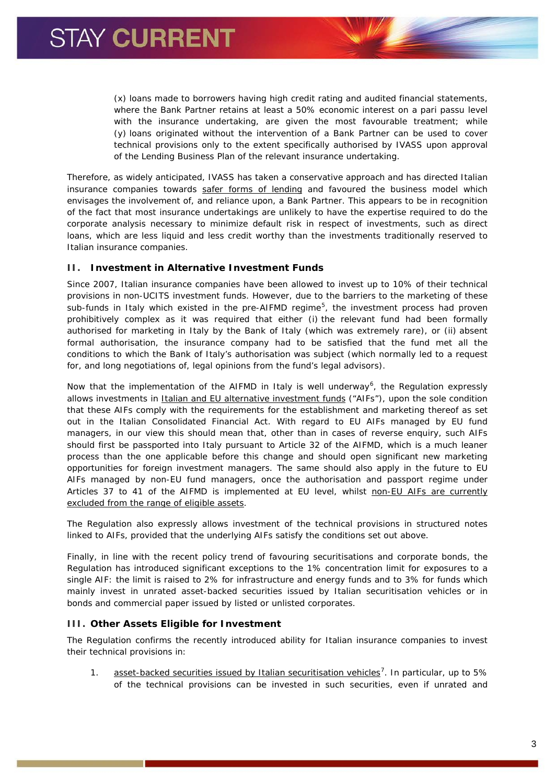(x) loans made to borrowers having high credit rating and audited financial statements, where the Bank Partner retains at least a 50% economic interest on a *pari passu* level with the insurance undertaking, are given the most favourable treatment; while (y) loans originated without the intervention of a Bank Partner can be used to cover technical provisions only to the extent specifically authorised by IVASS upon approval of the Lending Business Plan of the relevant insurance undertaking.

Therefore, as widely anticipated, IVASS has taken a conservative approach and has directed Italian insurance companies towards safer forms of lending and favoured the business model which envisages the involvement of, and reliance upon, a Bank Partner. This appears to be in recognition of the fact that most insurance undertakings are unlikely to have the expertise required to do the corporate analysis necessary to minimize default risk in respect of investments, such as direct loans, which are less liquid and less credit worthy than the investments traditionally reserved to Italian insurance companies.

## **II. Investment in Alternative Investment Funds**

Since 2007, Italian insurance companies have been allowed to invest up to 10% of their technical provisions in non-UCITS investment funds. However, due to the barriers to the marketing of these sub-funds in Italy which existed in the pre-AIFMD regime<sup>[5](#page-3-4)</sup>, the investment process had proven prohibitively complex as it was required that either (i) the relevant fund had been formally authorised for marketing in Italy by the Bank of Italy (which was extremely rare), or (ii) absent formal authorisation, the insurance company had to be satisfied that the fund met all the conditions to which the Bank of Italy's authorisation was subject (which normally led to a request for, and long negotiations of, legal opinions from the fund's legal advisors).

Now that the implementation of the AIFMD in Italy is well underway<sup>[6](#page-3-5)</sup>, the Regulation expressly allows investments in Italian and EU alternative investment funds ("AIFs"), upon the sole condition that these AIFs comply with the requirements for the establishment and marketing thereof as set out in the Italian Consolidated Financial Act. With regard to EU AIFs managed by EU fund managers, in our view this should mean that, other than in cases of reverse enquiry, such AIFs should first be passported into Italy pursuant to Article 32 of the AIFMD, which is a much leaner process than the one applicable before this change and should open significant new marketing opportunities for foreign investment managers. The same should also apply in the future to EU AIFs managed by non-EU fund managers, once the authorisation and passport regime under Articles 37 to 41 of the AIFMD is implemented at EU level, whilst non-EU AIFs are currently excluded from the range of eligible assets.

The Regulation also expressly allows investment of the technical provisions in structured notes linked to AIFs, provided that the underlying AIFs satisfy the conditions set out above.

Finally, in line with the recent policy trend of favouring securitisations and corporate bonds, the Regulation has introduced significant exceptions to the 1% concentration limit for exposures to a single AIF: the limit is raised to 2% for infrastructure and energy funds and to 3% for funds which mainly invest in unrated asset-backed securities issued by Italian securitisation vehicles or in bonds and commercial paper issued by listed or unlisted corporates.

# **III. Other Assets Eligible for Investment**

The Regulation confirms the recently introduced ability for Italian insurance companies to invest their technical provisions in:

1. asset-backed securities issued by Italian securitisation vehicles<sup>[7](#page-3-6)</sup>. In particular, up to 5% of the technical provisions can be invested in such securities, even if unrated and